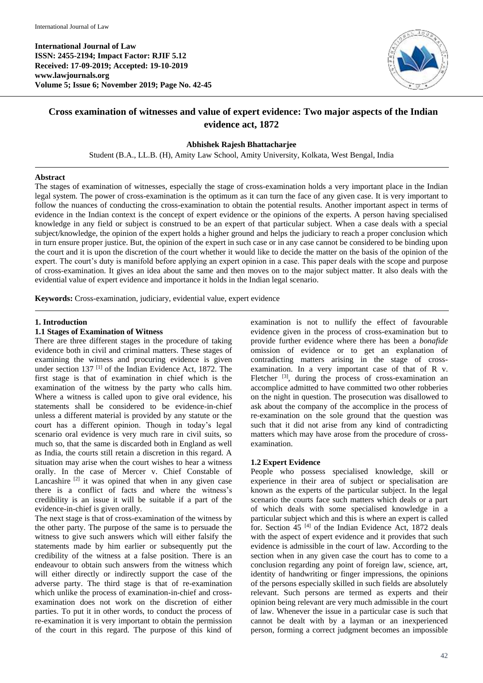**International Journal of Law ISSN: 2455-2194; Impact Factor: RJIF 5.12 Received: 17-09-2019; Accepted: 19-10-2019 www.lawjournals.org Volume 5; Issue 6; November 2019; Page No. 42-45**



# **Cross examination of witnesses and value of expert evidence: Two major aspects of the Indian evidence act, 1872**

## **Abhishek Rajesh Bhattacharjee**

Student (B.A., LL.B. (H), Amity Law School, Amity University, Kolkata, West Bengal, India

### **Abstract**

The stages of examination of witnesses, especially the stage of cross-examination holds a very important place in the Indian legal system. The power of cross-examination is the optimum as it can turn the face of any given case. It is very important to follow the nuances of conducting the cross-examination to obtain the potential results. Another important aspect in terms of evidence in the Indian context is the concept of expert evidence or the opinions of the experts. A person having specialised knowledge in any field or subject is construed to be an expert of that particular subject. When a case deals with a special subject/knowledge, the opinion of the expert holds a higher ground and helps the judiciary to reach a proper conclusion which in turn ensure proper justice. But, the opinion of the expert in such case or in any case cannot be considered to be binding upon the court and it is upon the discretion of the court whether it would like to decide the matter on the basis of the opinion of the expert. The court's duty is manifold before applying an expert opinion in a case. This paper deals with the scope and purpose of cross-examination. It gives an idea about the same and then moves on to the major subject matter. It also deals with the evidential value of expert evidence and importance it holds in the Indian legal scenario.

**Keywords:** Cross-examination, judiciary, evidential value, expert evidence

#### **1. Introduction**

#### **1.1 Stages of Examination of Witness**

There are three different stages in the procedure of taking evidence both in civil and criminal matters. These stages of examining the witness and procuring evidence is given under section 137<sup>[1]</sup> of the Indian Evidence Act, 1872. The first stage is that of examination in chief which is the examination of the witness by the party who calls him. Where a witness is called upon to give oral evidence, his statements shall be considered to be evidence-in-chief unless a different material is provided by any statute or the court has a different opinion. Though in today's legal scenario oral evidence is very much rare in civil suits, so much so, that the same is discarded both in England as well as India, the courts still retain a discretion in this regard. A situation may arise when the court wishes to hear a witness orally. In the case of Mercer v. Chief Constable of Lancashire  $[2]$  it was opined that when in any given case there is a conflict of facts and where the witness's credibility is an issue it will be suitable if a part of the evidence-in-chief is given orally.

The next stage is that of cross-examination of the witness by the other party. The purpose of the same is to persuade the witness to give such answers which will either falsify the statements made by him earlier or subsequently put the credibility of the witness at a false position. There is an endeavour to obtain such answers from the witness which will either directly or indirectly support the case of the adverse party. The third stage is that of re-examination which unlike the process of examination-in-chief and crossexamination does not work on the discretion of either parties. To put it in other words, to conduct the process of re-examination it is very important to obtain the permission of the court in this regard. The purpose of this kind of examination is not to nullify the effect of favourable evidence given in the process of cross-examination but to provide further evidence where there has been a *bonafide*  omission of evidence or to get an explanation of contradicting matters arising in the stage of crossexamination. In a very important case of that of R v. Fletcher <sup>[3]</sup>, during the process of cross-examination an accomplice admitted to have committed two other robberies on the night in question. The prosecution was disallowed to ask about the company of the accomplice in the process of re-examination on the sole ground that the question was such that it did not arise from any kind of contradicting matters which may have arose from the procedure of crossexamination.

### **1.2 Expert Evidence**

People who possess specialised knowledge, skill or experience in their area of subject or specialisation are known as the experts of the particular subject. In the legal scenario the courts face such matters which deals or a part of which deals with some specialised knowledge in a particular subject which and this is where an expert is called for. Section 45<sup>[4]</sup> of the Indian Evidence Act, 1872 deals with the aspect of expert evidence and it provides that such evidence is admissible in the court of law. According to the section when in any given case the court has to come to a conclusion regarding any point of foreign law, science, art, identity of handwriting or finger impressions, the opinions of the persons especially skilled in such fields are absolutely relevant. Such persons are termed as experts and their opinion being relevant are very much admissible in the court of law. Whenever the issue in a particular case is such that cannot be dealt with by a layman or an inexperienced person, forming a correct judgment becomes an impossible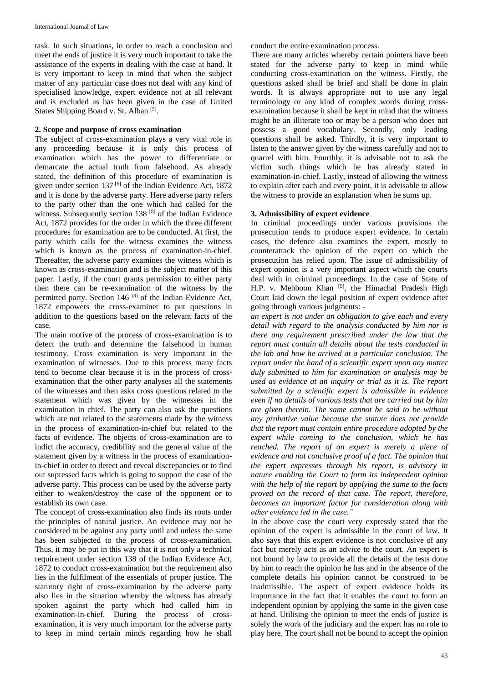task. In such situations, in order to reach a conclusion and meet the ends of justice it is very much important to take the assistance of the experts in dealing with the case at hand. It is very important to keep in mind that when the subject matter of any particular case does not deal with any kind of specialised knowledge, expert evidence not at all relevant and is excluded as has been given in the case of United States Shipping Board v. St. Alban<sup>[5]</sup>.

## **2. Scope and purpose of cross examination**

The subject of cross-examination plays a very vital role in any proceeding because it is only this process of examination which has the power to differentiate or demarcate the actual truth from falsehood. As already stated, the definition of this procedure of examination is given under section 137 $\left[6\right]$  of the Indian Evidence Act, 1872 and it is done by the adverse party. Here adverse party refers to the party other than the one which had called for the witness. Subsequently section 138<sup>[8]</sup> of the Indian Evidence Act, 1872 provides for the order in which the three different procedures for examination are to be conducted. At first, the party which calls for the witness examines the witness which is known as the process of examination-in-chief. Thereafter, the adverse party examines the witness which is known as cross-examination and is the subject matter of this paper. Lastly, if the court grants permission to either party then there can be re-examination of the witness by the permitted party. Section 146 [8] of the Indian Evidence Act, 1872 empowers the cross-examiner to put questions in addition to the questions based on the relevant facts of the case.

The main motive of the process of cross-examination is to detect the truth and determine the falsehood in human testimony. Cross examination is very important in the examination of witnesses. Due to this process many facts tend to become clear because it is in the process of crossexamination that the other party analyses all the statements of the witnesses and then asks cross questions related to the statement which was given by the witnesses in the examination in chief. The party can also ask the questions which are not related to the statements made by the witness in the process of examination-in-chief but related to the facts of evidence. The objects of cross-examination are to indict the accuracy, credibility and the general value of the statement given by a witness in the process of examinationin-chief in order to detect and reveal discrepancies or to find out supressed facts which is going to support the case of the adverse party. This process can be used by the adverse party either to weaken/destroy the case of the opponent or to establish its own case.

The concept of cross-examination also finds its roots under the principles of natural justice. An evidence may not be considered to be against any party until and unless the same has been subjected to the process of cross-examination. Thus, it may be put in this way that it is not only a technical requirement under section 138 of the Indian Evidence Act, 1872 to conduct cross-examination but the requirement also lies in the fulfilment of the essentials of proper justice. The statutory right of cross-examination by the adverse party also lies in the situation whereby the witness has already spoken against the party which had called him in examination-in-chief. During the process of crossexamination, it is very much important for the adverse party to keep in mind certain minds regarding how he shall

conduct the entire examination process.

There are many articles whereby certain pointers have been stated for the adverse party to keep in mind while conducting cross-examination on the witness. Firstly, the questions asked shall be brief and shall be done in plain words. It is always appropriate not to use any legal terminology or any kind of complex words during crossexamination because it shall be kept in mind that the witness might be an illiterate too or may be a person who does not possess a good vocabulary. Secondly, only leading questions shall be asked. Thirdly, it is very important to listen to the answer given by the witness carefully and not to quarrel with him. Fourthly, it is advisable not to ask the victim such things which he has already stated in examination-in-chief. Lastly, instead of allowing the witness to explain after each and every point, it is advisable to allow the witness to provide an explanation when he sums up.

# **3. Admissibility of expert evidence**

In criminal proceedings under various provisions the prosecution tends to produce expert evidence. In certain cases, the defence also examines the expert, mostly to counterattack the opinion of the expert on which the prosecution has relied upon. The issue of admissibility of expert opinion is a very important aspect which the courts deal with in criminal proceedings. In the case of State of H.P. v. Mehboon Khan <sup>[9]</sup>, the Himachal Pradesh High Court laid down the legal position of expert evidence after going through various judgments: -

*an expert is not under an obligation to give each and every detail with regard to the analysis conducted by him nor is there any requirement prescribed under the law that the report must contain all details about the tests conducted in the lab and how he arrived at a particular conclusion. The report under the hand of a scientific expert upon any matter duly submitted to him for examination or analysis may be used as evidence at an inquiry or trial as it is. The report submitted by a scientific expert is admissible in evidence even if no details of various tests that are carried out by him are given therein. The same cannot be said to be without any probative value because the statute does not provide that the report must contain entire procedure adopted by the expert while coming to the conclusion, which he has reached. The report of an expert is merely a piece of evidence and not conclusive proof of a fact. The opinion that the expert expresses through his report, is advisory in nature enabling the Court to form its independent opinion with the help of the report by applying the same to the facts proved on the record of that case. The report, therefore, becomes an important factor for consideration along with other evidence led in the case."*

In the above case the court very expressly stated that the opinion of the expert is admissible in the court of law. It also says that this expert evidence is not conclusive of any fact but merely acts as an advice to the court. An expert is not bound by law to provide all the details of the tests done by him to reach the opinion he has and in the absence of the complete details his opinion cannot be construed to be inadmissible. The aspect of expert evidence holds its importance in the fact that it enables the court to form an independent opinion by applying the same in the given case at hand. Utilising the opinion to meet the ends of justice is solely the work of the judiciary and the expert has no role to play here. The court shall not be bound to accept the opinion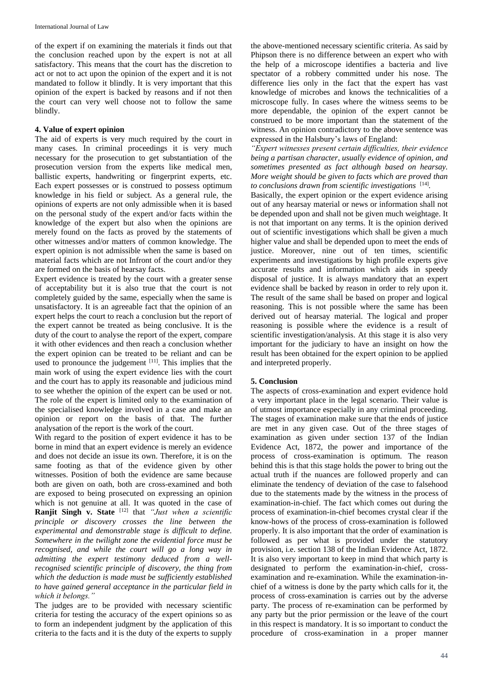of the expert if on examining the materials it finds out that the conclusion reached upon by the expert is not at all satisfactory. This means that the court has the discretion to act or not to act upon the opinion of the expert and it is not mandated to follow it blindly. It is very important that this opinion of the expert is backed by reasons and if not then the court can very well choose not to follow the same blindly.

## **4. Value of expert opinion**

The aid of experts is very much required by the court in many cases. In criminal proceedings it is very much necessary for the prosecution to get substantiation of the prosecution version from the experts like medical men, ballistic experts, handwriting or fingerprint experts, etc. Each expert possesses or is construed to possess optimum knowledge in his field or subject. As a general rule, the opinions of experts are not only admissible when it is based on the personal study of the expert and/or facts within the knowledge of the expert but also when the opinions are merely found on the facts as proved by the statements of other witnesses and/or matters of common knowledge. The expert opinion is not admissible when the same is based on material facts which are not Infront of the court and/or they are formed on the basis of hearsay facts.

Expert evidence is treated by the court with a greater sense of acceptability but it is also true that the court is not completely guided by the same, especially when the same is unsatisfactory. It is an agreeable fact that the opinion of an expert helps the court to reach a conclusion but the report of the expert cannot be treated as being conclusive. It is the duty of the court to analyse the report of the expert, compare it with other evidences and then reach a conclusion whether the expert opinion can be treated to be reliant and can be used to pronounce the judgement  $[11]$ . This implies that the main work of using the expert evidence lies with the court and the court has to apply its reasonable and judicious mind to see whether the opinion of the expert can be used or not. The role of the expert is limited only to the examination of the specialised knowledge involved in a case and make an opinion or report on the basis of that. The further analysation of the report is the work of the court.

With regard to the position of expert evidence it has to be borne in mind that an expert evidence is merely an evidence and does not decide an issue its own. Therefore, it is on the same footing as that of the evidence given by other witnesses. Position of both the evidence are same because both are given on oath, both are cross-examined and both are exposed to being prosecuted on expressing an opinion which is not genuine at all. It was quoted in the case of **Ranjit Singh v. State** <sup>[12]</sup> that *"Just when a scientific principle or discovery crosses the line between the experimental and demonstrable stage is difficult to define. Somewhere in the twilight zone the evidential force must be recognised, and while the court will go a long way in admitting the expert testimony deduced from a wellrecognised scientific principle of discovery, the thing from which the deduction is made must be sufficiently established to have gained general acceptance in the particular field in which it belongs."* 

The judges are to be provided with necessary scientific criteria for testing the accuracy of the expert opinions so as to form an independent judgment by the application of this criteria to the facts and it is the duty of the experts to supply

the above-mentioned necessary scientific criteria. As said by Phipson there is no difference between an expert who with the help of a microscope identifies a bacteria and live spectator of a robbery committed under his nose. The difference lies only in the fact that the expert has vast knowledge of microbes and knows the technicalities of a microscope fully. In cases where the witness seems to be more dependable, the opinion of the expert cannot be construed to be more important than the statement of the witness. An opinion contradictory to the above sentence was expressed in the Halsbury's laws of England:

*"Expert witnesses present certain difficulties, their evidence being a partisan character, usually evidence of opinion, and sometimes presented as fact although based on hearsay. More weight should be given to facts which are proved than to conclusions drawn from scientific investigations*  [14] *.*

Basically, the expert opinion or the expert evidence arising out of any hearsay material or news or information shall not be depended upon and shall not be given much weightage. It is not that important on any terms. It is the opinion derived out of scientific investigations which shall be given a much higher value and shall be depended upon to meet the ends of justice. Moreover, nine out of ten times, scientific experiments and investigations by high profile experts give accurate results and information which aids in speedy disposal of justice. It is always mandatory that an expert evidence shall be backed by reason in order to rely upon it. The result of the same shall be based on proper and logical reasoning. This is not possible where the same has been derived out of hearsay material. The logical and proper reasoning is possible where the evidence is a result of scientific investigation/analysis. At this stage it is also very important for the judiciary to have an insight on how the result has been obtained for the expert opinion to be applied and interpreted properly.

# **5. Conclusion**

The aspects of cross-examination and expert evidence hold a very important place in the legal scenario. Their value is of utmost importance especially in any criminal proceeding. The stages of examination make sure that the ends of justice are met in any given case. Out of the three stages of examination as given under section 137 of the Indian Evidence Act, 1872, the power and importance of the process of cross-examination is optimum. The reason behind this is that this stage holds the power to bring out the actual truth if the nuances are followed properly and can eliminate the tendency of deviation of the case to falsehood due to the statements made by the witness in the process of examination-in-chief. The fact which comes out during the process of examination-in-chief becomes crystal clear if the know-hows of the process of cross-examination is followed properly. It is also important that the order of examination is followed as per what is provided under the statutory provision, i.e. section 138 of the Indian Evidence Act, 1872. It is also very important to keep in mind that which party is designated to perform the examination-in-chief, crossexamination and re-examination. While the examination-inchief of a witness is done by the party which calls for it, the process of cross-examination is carries out by the adverse party. The process of re-examination can be performed by any party but the prior permission or the leave of the court in this respect is mandatory. It is so important to conduct the procedure of cross-examination in a proper manner